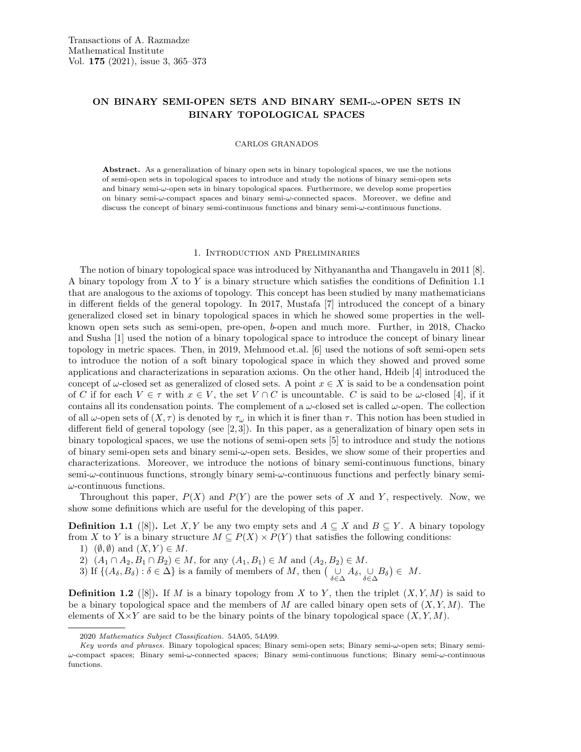# ON BINARY SEMI-OPEN SETS AND BINARY SEMI-ω-OPEN SETS IN BINARY TOPOLOGICAL SPACES

### CARLOS GRANADOS

Abstract. As a generalization of binary open sets in binary topological spaces, we use the notions of semi-open sets in topological spaces to introduce and study the notions of binary semi-open sets and binary semi-ω-open sets in binary topological spaces. Furthermore, we develop some properties on binary semi-ω-compact spaces and binary semi-ω-connected spaces. Moreover, we define and discuss the concept of binary semi-continuous functions and binary semi-ω-continuous functions.

### 1. Introduction and Preliminaries

The notion of binary topological space was introduced by Nithyanantha and Thangavelu in 2011 [8]. A binary topology from  $X$  to  $Y$  is a binary structure which satisfies the conditions of Definition 1.1 that are analogous to the axioms of topology. This concept has been studied by many mathematicians in different fields of the general topology. In 2017, Mustafa [7] introduced the concept of a binary generalized closed set in binary topological spaces in which he showed some properties in the wellknown open sets such as semi-open, pre-open, b-open and much more. Further, in 2018, Chacko and Susha [1] used the notion of a binary topological space to introduce the concept of binary linear topology in metric spaces. Then, in 2019, Mehmood et.al. [6] used the notions of soft semi-open sets to introduce the notion of a soft binary topological space in which they showed and proved some applications and characterizations in separation axioms. On the other hand, Hdeib [4] introduced the concept of  $\omega$ -closed set as generalized of closed sets. A point  $x \in X$  is said to be a condensation point of C if for each  $V \in \tau$  with  $x \in V$ , the set  $V \cap C$  is uncountable. C is said to be  $\omega$ -closed [4], if it contains all its condensation points. The complement of a  $\omega$ -closed set is called  $\omega$ -open. The collection of all  $\omega$ -open sets of  $(X, \tau)$  is denoted by  $\tau_{\omega}$  in which it is finer than  $\tau$ . This notion has been studied in different field of general topology (see [2, 3]). In this paper, as a generalization of binary open sets in binary topological spaces, we use the notions of semi-open sets [5] to introduce and study the notions of binary semi-open sets and binary semi- $\omega$ -open sets. Besides, we show some of their properties and characterizations. Moreover, we introduce the notions of binary semi-continuous functions, binary semi- $\omega$ -continuous functions, strongly binary semi- $\omega$ -continuous functions and perfectly binary semi- $\omega$ -continuous functions.

Throughout this paper,  $P(X)$  and  $P(Y)$  are the power sets of X and Y, respectively. Now, we show some definitions which are useful for the developing of this paper.

**Definition 1.1** ([8]). Let X, Y be any two empty sets and  $A \subseteq X$  and  $B \subseteq Y$ . A binary topology from X to Y is a binary structure  $M \subseteq P(X) \times P(Y)$  that satisfies the following conditions:

- 1)  $(\emptyset, \emptyset)$  and  $(X, Y) \in M$ .
- 2)  $(A_1 \cap A_2, B_1 \cap B_2) \in M$ , for any  $(A_1, B_1) \in M$  and  $(A_2, B_2) \in M$ .
- 3) If  $\{(A_\delta, B_\delta) : \delta \in \Delta\}$  is a family of members of M, then  $\left(\bigcup_{\delta \in \Delta} A_\delta, \bigcup_{\delta \in \Delta} B_\delta\right) \in M$ .

**Definition 1.2** ([8]). If M is a binary topology from X to Y, then the triplet  $(X, Y, M)$  is said to be a binary topological space and the members of M are called binary open sets of  $(X, Y, M)$ . The elements of  $X \times Y$  are said to be the binary points of the binary topological space  $(X, Y, M)$ .

<sup>2020</sup> Mathematics Subject Classification. 54A05, 54A99.

Key words and phrases. Binary topological spaces; Binary semi-open sets; Binary semi-ω-open sets; Binary semiω-compact spaces; Binary semi-ω-connected spaces; Binary semi-continuous functions; Binary semi-ω-continuous functions.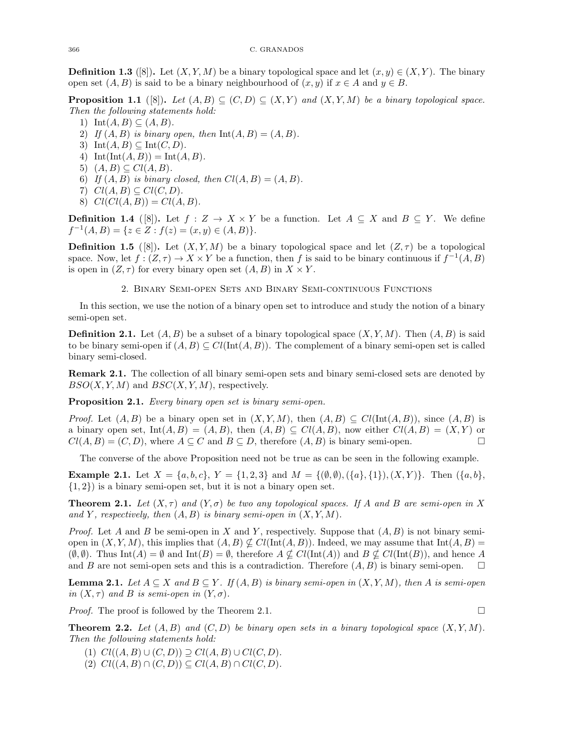**Definition 1.3** ([8]). Let  $(X, Y, M)$  be a binary topological space and let  $(x, y) \in (X, Y)$ . The binary open set  $(A, B)$  is said to be a binary neighbourhood of  $(x, y)$  if  $x \in A$  and  $y \in B$ .

**Proposition 1.1** ([8]). Let  $(A, B) \subseteq (C, D) \subseteq (X, Y)$  and  $(X, Y, M)$  be a binary topological space. Then the following statements hold:

- 1) Int $(A, B) \subseteq (A, B)$ .
- 2) If  $(A, B)$  is binary open, then  $Int(A, B) = (A, B)$ .
- 3) Int $(A, B) \subseteq \text{Int}(C, D)$ .
- 4)  $\text{Int}(\text{Int}(A, B)) = \text{Int}(A, B).$
- 5)  $(A, B) \subseteq Cl(A, B)$ .
- 6) If  $(A, B)$  is binary closed, then  $Cl(A, B) = (A, B)$ .
- 7)  $Cl(A, B) \subseteq Cl(C, D)$ .
- 8)  $Cl(Cl(A, B)) = Cl(A, B).$

**Definition 1.4** ([8]). Let  $f : Z \to X \times Y$  be a function. Let  $A \subseteq X$  and  $B \subseteq Y$ . We define  $f^{-1}(A, B) = \{z \in Z : f(z) = (x, y) \in (A, B)\}.$ 

**Definition 1.5** ([8]). Let  $(X, Y, M)$  be a binary topological space and let  $(Z, \tau)$  be a topological space. Now, let  $f:(Z,\tau) \to X \times Y$  be a function, then f is said to be binary continuous if  $f^{-1}(A,B)$ is open in  $(Z, \tau)$  for every binary open set  $(A, B)$  in  $X \times Y$ .

# 2. Binary Semi-open Sets and Binary Semi-continuous Functions

In this section, we use the notion of a binary open set to introduce and study the notion of a binary semi-open set.

**Definition 2.1.** Let  $(A, B)$  be a subset of a binary topological space  $(X, Y, M)$ . Then  $(A, B)$  is said to be binary semi-open if  $(A, B) \subseteq Cl(\text{Int}(A, B))$ . The complement of a binary semi-open set is called binary semi-closed.

Remark 2.1. The collection of all binary semi-open sets and binary semi-closed sets are denoted by  $BSO(X, Y, M)$  and  $BSC(X, Y, M)$ , respectively.

Proposition 2.1. Every binary open set is binary semi-open.

*Proof.* Let  $(A, B)$  be a binary open set in  $(X, Y, M)$ , then  $(A, B) \subseteq Cl(\text{Int}(A, B))$ , since  $(A, B)$  is a binary open set, Int $(A, B) = (A, B)$ , then  $(A, B) \subseteq Cl(A, B)$ , now either  $Cl(A, B) = (X, Y)$  or  $Cl(A, B) = (C, D)$ , where  $A \subseteq C$  and  $B \subseteq D$ , therefore  $(A, B)$  is binary semi-open.

The converse of the above Proposition need not be true as can be seen in the following example.

**Example 2.1.** Let  $X = \{a, b, c\}$ ,  $Y = \{1, 2, 3\}$  and  $M = \{(\emptyset, \emptyset), (\{a\}, \{1\}), (X, Y)\}$ . Then  $(\{a, b\})$ ,  $\{1, 2\}$  is a binary semi-open set, but it is not a binary open set.

**Theorem 2.1.** Let  $(X, \tau)$  and  $(Y, \sigma)$  be two any topological spaces. If A and B are semi-open in X and Y, respectively, then  $(A, B)$  is binary semi-open in  $(X, Y, M)$ .

*Proof.* Let A and B be semi-open in X and Y, respectively. Suppose that  $(A, B)$  is not binary semiopen in  $(X, Y, M)$ , this implies that  $(A, B) \nsubseteq Cl(\text{Int}(A, B))$ . Indeed, we may assume that  $\text{Int}(A, B)$  =  $(\emptyset, \emptyset)$ . Thus Int $(A) = \emptyset$  and Int $(B) = \emptyset$ , therefore  $A \nsubseteq Cl(\text{Int}(A))$  and  $B \nsubseteq Cl(\text{Int}(B))$ , and hence A and B are not semi-open sets and this is a contradiction. Therefore  $(A, B)$  is binary semi-open.  $\square$ 

**Lemma 2.1.** Let  $A \subseteq X$  and  $B \subseteq Y$ . If  $(A, B)$  is binary semi-open in  $(X, Y, M)$ , then A is semi-open in  $(X, \tau)$  and B is semi-open in  $(Y, \sigma)$ .

*Proof.* The proof is followed by the Theorem 2.1.  $\Box$ 

**Theorem 2.2.** Let  $(A, B)$  and  $(C, D)$  be binary open sets in a binary topological space  $(X, Y, M)$ . Then the following statements hold:

- (1)  $Cl((A, B) \cup (C, D)) \supseteq Cl(A, B) \cup Cl(C, D).$
- (2)  $Cl((A, B) \cap (C, D)) \subseteq Cl(A, B) \cap Cl(C, D).$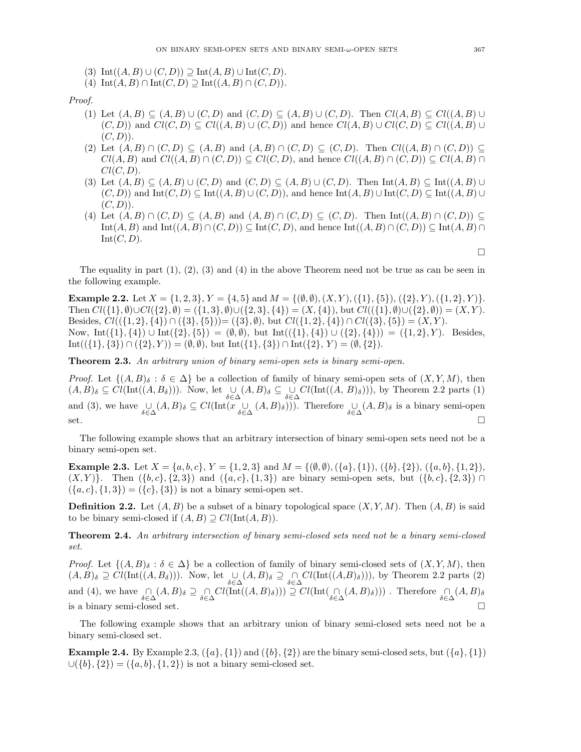- (3)  $\text{Int}((A, B) \cup (C, D)) \supseteq \text{Int}(A, B) \cup \text{Int}(C, D).$
- (4)  $\text{Int}(A, B) \cap \text{Int}(C, D) \supseteq \text{Int}((A, B) \cap (C, D)).$

Proof.

- (1) Let  $(A, B) \subseteq (A, B) \cup (C, D)$  and  $(C, D) \subseteq (A, B) \cup (C, D)$ . Then  $Cl(A, B) \subseteq Cl((A, B) \cup (C, D))$  $(C, D)$  and  $Cl(C, D) \subseteq Cl((A, B) \cup (C, D))$  and hence  $Cl(A, B) \cup Cl(C, D) \subseteq Cl((A, B) \cup$  $(C, D)$ .
- (2) Let  $(A, B) \cap (C, D) \subseteq (A, B)$  and  $(A, B) \cap (C, D) \subseteq (C, D)$ . Then  $Cl((A, B) \cap (C, D)) \subseteq$  $Cl(A, B)$  and  $Cl((A, B) \cap (C, D)) \subseteq Cl(C, D)$ , and hence  $Cl((A, B) \cap (C, D)) \subseteq Cl(A, B) \cap$  $Cl(C, D)$ .
- (3) Let  $(A, B) \subseteq (A, B) \cup (C, D)$  and  $(C, D) \subseteq (A, B) \cup (C, D)$ . Then Int $(A, B) \subseteq \text{Int}((A, B) \cup (C, D))$  $(C, D)$ ) and  $\mathrm{Int}(C, D) \subseteq \mathrm{Int}((A, B) \cup (C, D))$ , and hence  $\mathrm{Int}(A, B) \cup \mathrm{Int}(C, D) \subseteq \mathrm{Int}((A, B) \cup$  $(C, D)$ .
- (4) Let  $(A, B) \cap (C, D) \subseteq (A, B)$  and  $(A, B) \cap (C, D) \subseteq (C, D)$ . Then  $Int((A, B) \cap (C, D)) \subseteq$  $\text{Int}(A, B)$  and  $\text{Int}((A, B) \cap (C, D)) \subseteq \text{Int}(C, D)$ , and hence  $\text{Int}((A, B) \cap (C, D)) \subseteq \text{Int}(A, B) \cap (D, D)$  $Int(C, D).$

The equality in part  $(1)$ ,  $(2)$ ,  $(3)$  and  $(4)$  in the above Theorem need not be true as can be seen in the following example.

**Example 2.2.** Let  $X = \{1, 2, 3\}, Y = \{4, 5\}$  and  $M = \{(0, 0), (X, Y), (\{1\}, \{5\}), (\{2\}, Y), (\{1, 2\}, Y)\}.$ Then  $Cl({1}, \emptyset) \cup Cl({2}, \emptyset) = ({1}, 3, \emptyset) \cup ({2}, 3, \{4\}) = (X, {4}),$  but  $Cl({1}, \emptyset) \cup ({2}, \emptyset) = (X, Y)$ . Besides,  $Cl({1, 2}, {4}) \cap ({3}, {5}) = ({3}, \emptyset)$ , but  $Cl({1, 2}, {4}) \cap Cl({3}, {5}) = (X, Y)$ . Now, Int({1}, {4}) ∪ Int({2}, {5}) =  $(\emptyset, \emptyset)$ , but Int(({1}, {4}) ∪ ({2}, {4})) = ({1, 2}, Y). Besides, Int(({1}, {3}) ∩ ({2}, Y)) = ( $\emptyset$ ,  $\emptyset$ ), but Int({1}, {3}) ∩ Int({2}, Y) = ( $\emptyset$ , {2}).

Theorem 2.3. An arbitrary union of binary semi-open sets is binary semi-open.

*Proof.* Let  $\{(A, B)_{\delta} : \delta \in \Delta\}$  be a collection of family of binary semi-open sets of  $(X, Y, M)$ , then  $(A, B)_{\delta} \subseteq Cl(\text{Int}((A, B_{\delta})))$ . Now, let  $\bigcup_{\delta \in \Delta} (A, B)_{\delta} \subseteq \bigcup_{\delta \in \Delta} Cl(\text{Int}((A, B)_{\delta})))$ , by Theorem 2.2 parts (1) and (3), we have  $\bigcup_{\delta \in \Delta} (A, B)_{\delta} \subseteq Cl(\text{Int}(x \cup_{\delta \in \Delta} (A, B)_{\delta})))$ . Therefore  $\bigcup_{\delta \in \Delta} (A, B)_{\delta}$  is a binary semi-open  $\sum$  set.

The following example shows that an arbitrary intersection of binary semi-open sets need not be a binary semi-open set.

**Example 2.3.** Let  $X = \{a, b, c\}$ ,  $Y = \{1, 2, 3\}$  and  $M = \{(\emptyset, \emptyset), (\{a\}, \{1\}), (\{b\}, \{2\}), (\{a, b\}, \{1, 2\})$ ,  $(X, Y)$ . Then  $({b, c}, {2, 3})$  and  $({a, c}, {1, 3})$  are binary semi-open sets, but  $({b, c}, {2, 3})$  $({a, c}, {1, 3}) = ({c}, {3})$  is not a binary semi-open set.

**Definition 2.2.** Let  $(A, B)$  be a subset of a binary topological space  $(X, Y, M)$ . Then  $(A, B)$  is said to be binary semi-closed if  $(A, B) \supset Cl(\text{Int}(A, B)).$ 

Theorem 2.4. An arbitrary intersection of binary semi-closed sets need not be a binary semi-closed set.

*Proof.* Let  $\{(A, B)_{\delta} : \delta \in \Delta\}$  be a collection of family of binary semi-closed sets of  $(X, Y, M)$ , then  $(A, B)_{\delta} \supseteq Cl(\text{Int}((A, B_{\delta})))$ . Now, let  $\bigcup_{\delta \in \Delta} (A, B)_{\delta} \supseteq \bigcap_{\delta \in \Delta} Cl(\text{Int}((A, B)_{\delta})))$ , by Theorem 2.2 parts (2) and (4), we have  $\bigcap_{\delta \in \Delta} (A, B)_{\delta} \supseteq \bigcap_{\delta \in \Delta} Cl(\text{Int}((A, B)_{\delta}))) \supseteq Cl(\text{Int}(\bigcap_{\delta \in \Delta} (A, B)_{\delta})))$ . Therefore  $\bigcap_{\delta \in \Delta} (A, B)_{\delta}$ is a binary semi-closed set.  $\square$ 

The following example shows that an arbitrary union of binary semi-closed sets need not be a binary semi-closed set.

**Example 2.4.** By Example 2.3,  $({a}, {1})$  and  $({b}, {2})$  are the binary semi-closed sets, but  $({a}, {1})$  $\cup$ ({b}, {2}) = ({a, b}, {1, 2}) is not a binary semi-closed set.

 $\Box$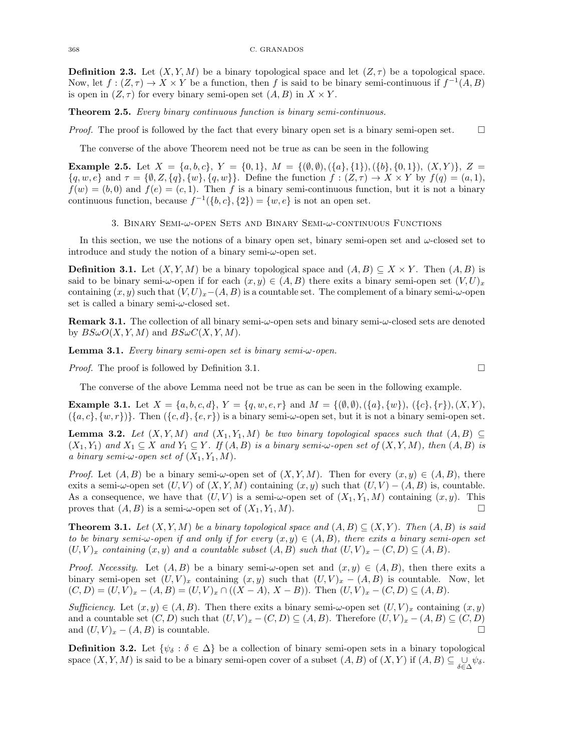**Definition 2.3.** Let  $(X, Y, M)$  be a binary topological space and let  $(Z, \tau)$  be a topological space. Now, let  $f: (Z, \tau) \to X \times Y$  be a function, then f is said to be binary semi-continuous if  $f^{-1}(A, B)$ is open in  $(Z, \tau)$  for every binary semi-open set  $(A, B)$  in  $X \times Y$ .

Theorem 2.5. Every binary continuous function is binary semi-continuous.

*Proof.* The proof is followed by the fact that every binary open set is a binary semi-open set.  $\square$ 

The converse of the above Theorem need not be true as can be seen in the following

**Example 2.5.** Let  $X = \{a, b, c\}$ ,  $Y = \{0, 1\}$ ,  $M = \{(\emptyset, \emptyset), (\{a\}, \{1\}), (\{b\}, \{0, 1\}), (X, Y)\}$ ,  $Z =$  $\{q, w, e\}$  and  $\tau = \{\emptyset, Z, \{q\}, \{w\}, \{q, w\}\}\$ . Define the function  $f : (Z, \tau) \to X \times Y$  by  $f(q) = (a, 1),$  $f(w) = (b, 0)$  and  $f(e) = (c, 1)$ . Then f is a binary semi-continuous function, but it is not a binary continuous function, because  $f^{-1}(\{b, c\}, \{2\}) = \{w, e\}$  is not an open set.

# 3. Binary Semi-ω-open Sets and Binary Semi-ω-continuous Functions

In this section, we use the notions of a binary open set, binary semi-open set and  $\omega$ -closed set to introduce and study the notion of a binary semi- $\omega$ -open set.

**Definition 3.1.** Let  $(X, Y, M)$  be a binary topological space and  $(A, B) \subseteq X \times Y$ . Then  $(A, B)$  is said to be binary semi- $\omega$ -open if for each  $(x, y) \in (A, B)$  there exits a binary semi-open set  $(V, U)_x$ containing  $(x, y)$  such that  $(V, U)_x-(A, B)$  is a countable set. The complement of a binary semi- $\omega$ -open set is called a binary semi- $\omega$ -closed set.

**Remark 3.1.** The collection of all binary semi- $\omega$ -open sets and binary semi- $\omega$ -closed sets are denoted by  $BS\omega O(X, Y, M)$  and  $BS\omega C(X, Y, M)$ .

**Lemma 3.1.** Every binary semi-open set is binary semi- $\omega$ -open.

*Proof.* The proof is followed by Definition 3.1.

The converse of the above Lemma need not be true as can be seen in the following example.

**Example 3.1.** Let  $X = \{a, b, c, d\}$ ,  $Y = \{q, w, e, r\}$  and  $M = \{(\emptyset, \emptyset), (\{a\}, \{w\}), (\{c\}, \{r\}), (X, Y),$  $({a, c}, {w, r})$ . Then  $({c, d}, {e, r})$  is a binary semi- $\omega$ -open set, but it is not a binary semi-open set.

**Lemma 3.2.** Let  $(X, Y, M)$  and  $(X_1, Y_1, M)$  be two binary topological spaces such that  $(A, B) \subseteq$  $(X_1, Y_1)$  and  $X_1 \subseteq X$  and  $Y_1 \subseteq Y$ . If  $(A, B)$  is a binary semi- $\omega$ -open set of  $(X, Y, M)$ , then  $(A, B)$  is a binary semi- $\omega$ -open set of  $(X_1, Y_1, M)$ .

*Proof.* Let  $(A, B)$  be a binary semi- $\omega$ -open set of  $(X, Y, M)$ . Then for every  $(x, y) \in (A, B)$ , there exits a semi- $\omega$ -open set  $(U, V)$  of  $(X, Y, M)$  containing  $(x, y)$  such that  $(U, V) - (A, B)$  is, countable. As a consequence, we have that  $(U, V)$  is a semi- $\omega$ -open set of  $(X_1, Y_1, M)$  containing  $(x, y)$ . This proves that  $(A, B)$  is a semi- $\omega$ -open set of  $(X_1, Y_1, M)$ .

**Theorem 3.1.** Let  $(X, Y, M)$  be a binary topological space and  $(A, B) \subseteq (X, Y)$ . Then  $(A, B)$  is said to be binary semi- $\omega$ -open if and only if for every  $(x, y) \in (A, B)$ , there exits a binary semi-open set  $(U, V)_x$  containing  $(x, y)$  and a countable subset  $(A, B)$  such that  $(U, V)_x - (C, D) \subseteq (A, B)$ .

*Proof.* Necessity. Let  $(A, B)$  be a binary semi- $\omega$ -open set and  $(x, y) \in (A, B)$ , then there exits a binary semi-open set  $(U, V)_x$  containing  $(x, y)$  such that  $(U, V)_x - (A, B)$  is countable. Now, let  $(C, D) = (U, V)_x - (A, B) = (U, V)_x \cap ((X - A), X - B)$ . Then  $(U, V)_x - (C, D) \subseteq (A, B)$ .

Sufficiency. Let  $(x, y) \in (A, B)$ . Then there exits a binary semi- $\omega$ -open set  $(U, V)_x$  containing  $(x, y)$ and a countable set  $(C, D)$  such that  $(U, V)_x - (C, D) \subseteq (A, B)$ . Therefore  $(U, V)_x - (A, B) \subseteq (C, D)$ and  $(U, V)_x - (A, B)$  is countable.

**Definition 3.2.** Let  $\{\psi_{\delta} : \delta \in \Delta\}$  be a collection of binary semi-open sets in a binary topological space  $(X, Y, M)$  is said to be a binary semi-open cover of a subset  $(A, B)$  of  $(X, Y)$  if  $(A, B) \subseteq \bigcup_{\delta \in \Delta} \psi_{\delta}$ .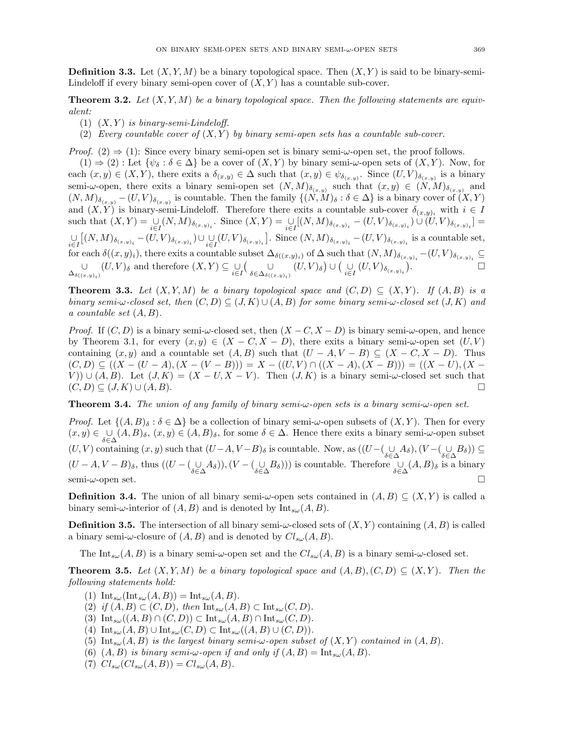**Definition 3.3.** Let  $(X, Y, M)$  be a binary topological space. Then  $(X, Y)$  is said to be binary-semi-Lindeloff if every binary semi-open cover of  $(X, Y)$  has a countable sub-cover.

**Theorem 3.2.** Let  $(X, Y, M)$  be a binary topological space. Then the following statements are equivalent:

- (1)  $(X, Y)$  is binary-semi-Lindeloff.
- (2) Every countable cover of  $(X, Y)$  by binary semi-open sets has a countable sub-cover.

*Proof.* (2)  $\Rightarrow$  (1): Since every binary semi-open set is binary semi- $\omega$ -open set, the proof follows.

 $(1) \Rightarrow (2)$ : Let  $\{\psi_{\delta} : \delta \in \Delta\}$  be a cover of  $(X, Y)$  by binary semi- $\omega$ -open sets of  $(X, Y)$ . Now, for each  $(x, y) \in (X, Y)$ , there exits a  $\delta_{(x,y)} \in \Delta$  such that  $(x, y) \in \psi_{\delta_{(x,y)}}$ . Since  $(U, V)_{\delta_{(x,y)}}$  is a binary semi- $\omega$ -open, there exits a binary semi-open set  $(N, M)_{\delta_{(x,y)}}$  such that  $(x, y) \in (N, M)_{\delta_{(x,y)}}$  and  $(N, M)_{\delta_{(x,y)}} - (U, V)_{\delta_{(x,y)}}$  is countable. Then the family  $\{(N, M)_{\delta} : \delta \in \Delta\}$  is a binary cover of  $(X, Y)$ and  $(X, Y)$  is binary-semi-Lindeloff. Therefore there exits a countable sub-cover  $\delta_{(x,y)_i}$  with  $i \in I$ such that  $(X,Y) = \bigcup_{i \in I} (N,M)_{\delta(x,y)_i}$ . Since  $(X,Y) = \bigcup_{i \in I} [(N,M)_{\delta(x,y)_i} - (U,V)_{\delta(x,y)_i}] \cup (U,V)_{\delta(x,y)_i} =$  $\bigcup_{i\in I} \bigl[ (N,M)_{\delta_{(x,y)_i}} - (U,V)_{\delta_{(x,y)_i}} \bigr) \cup \bigcup_{i\in I} (U,V)_{\delta_{(x,y)_i}} \bigr].$  Since  $(N,M)_{\delta_{(x,y)_i}} - (U,V)_{\delta_{(x,y)_i}}$  is a countable set, for each  $\delta((x,y)_i)$ , there exits a countable subset  $\Delta_{\delta((x,y)_i)}$  of  $\Delta$  such that  $(N,M)_{\delta_{(x,y)_i}}-(U,V)_{\delta_{(x,y)_i}}\subseteq$ ∪  $\bigcup_{\Delta_{\delta((x,y)_i)}} (U,V)_{\delta}$  and therefore  $(X,Y) \subseteq \bigcup_{i \in I} \left( \bigcup_{\delta \in \Delta_{\delta((i,j))}} U \right)$  $\bigcup_{\delta \in \Delta_{\delta((x,y)_i)}} (U,V)_{\delta} \big) \cup \big( \bigcup_{i \in I} (U,V)_{\delta_{(x,y)_i}} \big)$ .

**Theorem 3.3.** Let  $(X, Y, M)$  be a binary topological space and  $(C, D) \subseteq (X, Y)$ . If  $(A, B)$  is a binary semi- $\omega$ -closed set, then  $(C, D) \subseteq (J, K) \cup (A, B)$  for some binary semi- $\omega$ -closed set  $(J, K)$  and a countable set  $(A, B)$ .

*Proof.* If  $(C, D)$  is a binary semi- $\omega$ -closed set, then  $(X - C, X - D)$  is binary semi- $\omega$ -open, and hence by Theorem 3.1, for every  $(x, y) \in (X - C, X - D)$ , there exits a binary semi- $\omega$ -open set  $(U, V)$ containing  $(x, y)$  and a countable set  $(A, B)$  such that  $(U - A, V - B) \subseteq (X - C, X - D)$ . Thus  $(C, D) \subseteq ((X - (U - A), (X - (V - B))) = X - ((U, V) \cap ((X - A), (X - B))) = ((X - U), (X - C))$ V))  $\cup$   $(A, B)$ . Let  $(J, K) = (X - U, X - V)$ . Then  $(J, K)$  is a binary semi- $\omega$ -closed set such that  $(C, D) \subseteq (J, K) \cup (A, B).$ 

**Theorem 3.4.** The union of any family of binary semi- $\omega$ -open sets is a binary semi- $\omega$ -open set.

*Proof.* Let  $\{(A, B)_{\delta} : \delta \in \Delta\}$  be a collection of binary semi- $\omega$ -open subsets of  $(X, Y)$ . Then for every  $(x, y) \in \bigcup_{\alpha} (A, B)_{\delta}, (x, y) \in (A, B)_{\delta}$ , for some  $\delta \in \Delta$ . Hence there exits a binary semi- $\omega$ -open subset  $(U, V)$  containing  $(x, y)$  such that  $(U-A, V-B)_{\delta}$  is countable. Now, as  $((U-(\bigcup_{\delta\in\Delta}A_{\delta}),(V-(\bigcup_{\delta\in\Delta}B_{\delta}))\subseteq$  $(U-A, V-B)_{\delta}$ , thus  $((U-(\bigcup_{\delta\in\Delta}A_{\delta})), (V-(\bigcup_{\delta\in\Delta}B_{\delta})))$  is countable. Therefore  $\bigcup_{\delta\in\Delta}(A, B)_{\delta}$  is a binary semi- $\omega$ -open set.

**Definition 3.4.** The union of all binary semi- $\omega$ -open sets contained in  $(A, B) \subseteq (X, Y)$  is called a binary semi- $\omega$ -interior of  $(A, B)$  and is denoted by  $\text{Int}_{s\omega}(A, B)$ .

**Definition 3.5.** The intersection of all binary semi- $\omega$ -closed sets of  $(X, Y)$  containing  $(A, B)$  is called a binary semi- $\omega$ -closure of  $(A, B)$  and is denoted by  $Cl_{s\omega}(A, B)$ .

The Int<sub>sw</sub> $(A, B)$  is a binary semi- $\omega$ -open set and the  $Cl_{s\omega}(A, B)$  is a binary semi- $\omega$ -closed set.

**Theorem 3.5.** Let  $(X, Y, M)$  be a binary topological space and  $(A, B), (C, D) \subset (X, Y)$ . Then the following statements hold:

- (1)  $\text{Int}_{s\omega}(\text{Int}_{s\omega}(A, B)) = \text{Int}_{s\omega}(A, B).$
- (2) if  $(A, B) \subset (C, D)$ , then  $\mathrm{Int}_{s\omega}(A, B) \subset \mathrm{Int}_{s\omega}(C, D)$ .
- (3)  $\text{Int}_{s\omega}((A, B) \cap (C, D)) \subset \text{Int}_{s\omega}(A, B) \cap \text{Int}_{s\omega}(C, D).$
- (4)  $\text{Int}_{s\omega}(A, B) \cup \text{Int}_{s\omega}(C, D) \subset \text{Int}_{s\omega}((A, B) \cup (C, D)).$
- (5) Int<sub>sω</sub> $(A, B)$  is the largest binary semi-ω-open subset of  $(X, Y)$  contained in  $(A, B)$ .
- (6)  $(A, B)$  is binary semi- $\omega$ -open if and only if  $(A, B) = \text{Int}_{s\omega}(A, B)$ .
- (7)  $Cl_{s\omega}(Cl_{s\omega}(A, B)) = Cl_{s\omega}(A, B).$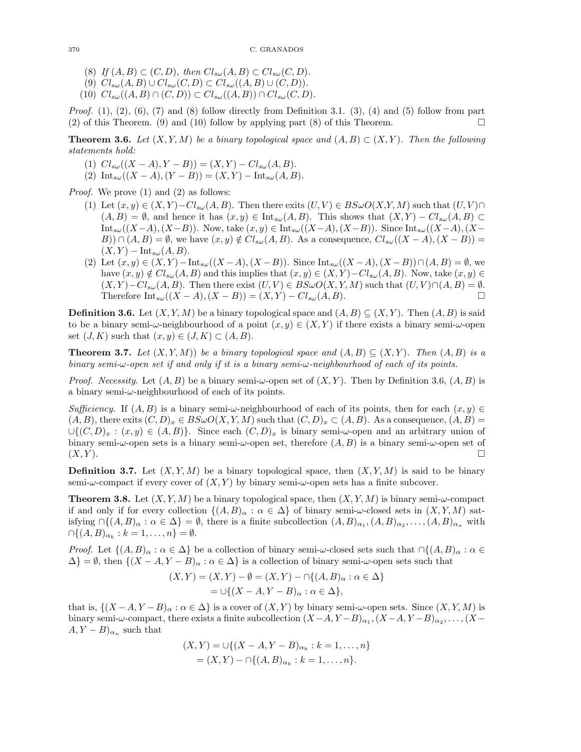- (8) If  $(A, B) \subset (C, D)$ , then  $Cl_{s\omega}(A, B) \subset Cl_{s\omega}(C, D)$ .
- (9)  $Cl_{s\omega}(A, B) \cup Cl_{s\omega}(C, D) \subset Cl_{s\omega}((A, B) \cup (C, D)).$
- (10)  $Cl_{s\omega}((A, B) \cap (C, D)) \subset Cl_{s\omega}((A, B)) \cap Cl_{s\omega}(C, D).$

*Proof.* (1), (2), (6), (7) and (8) follow directly from Definition 3.1. (3), (4) and (5) follow from part (2) of this Theorem. (9) and (10) follow by applying part (8) of this Theorem.

**Theorem 3.6.** Let  $(X, Y, M)$  be a binary topological space and  $(A, B) \subset (X, Y)$ . Then the following statements hold:

- (1)  $Cl_{s\omega}((X-A), Y-B)) = (X,Y) Cl_{s\omega}(A,B).$
- (2)  $\text{Int}_{s\omega}((X-A),(Y-B))=(X,Y)-\text{Int}_{s\omega}(A,B).$

Proof. We prove (1) and (2) as follows:

- (1) Let  $(x, y) \in (X, Y) Cl_{s\omega}(A, B)$ . Then there exits  $(U, V) \in B\mathcal{S}\omega O(X, Y, M)$  such that  $(U, V) \cap$  $(A, B) = \emptyset$ , and hence it has  $(x, y) \in Int_{s\omega}(A, B)$ . This shows that  $(X, Y) - Cl_{s\omega}(A, B) \subset$  $\text{Int}_{s\omega}((X-A),(X-B))$ . Now, take  $(x,y)\in \text{Int}_{s\omega}((X-A),(X-B))$ . Since  $\text{Int}_{s\omega}((X-A),(X-B))$ B))  $\cap$   $(A, B) = \emptyset$ , we have  $(x, y) \notin Cl_{s\omega}(A, B)$ . As a consequence,  $Cl_{s\omega}((X - A), (X - B)) =$  $(X, Y)$  – Int<sub>sω</sub> $(A, B)$ .
- (2) Let  $(x, y) \in (X, Y) \text{Int}_{s\omega}((X A), (X B))$ . Since  $\text{Int}_{s\omega}((X A), (X B)) ∩ (A, B) = \emptyset$ , we have  $(x, y) \notin Cl_{s\omega}(A, B)$  and this implies that  $(x, y) \in (X, Y) - Cl_{s\omega}(A, B)$ . Now, take  $(x, y) \in$  $(X, Y) - Cl_{s\omega}(A, B)$ . Then there exist  $(U, V) \in B\mathcal{S}\omega O(X, Y, M)$  such that  $(U, V) \cap (A, B) = \emptyset$ . Therefore  $\text{Int}_{s\omega}((X-A),(X-B)) = (X,Y) - Cl_{s\omega}(A,B).$

**Definition 3.6.** Let  $(X, Y, M)$  be a binary topological space and  $(A, B) \subseteq (X, Y)$ . Then  $(A, B)$  is said to be a binary semi- $\omega$ -neighbourhood of a point  $(x, y) \in (X, Y)$  if there exists a binary semi- $\omega$ -open set  $(J, K)$  such that  $(x, y) \in (J, K) \subset (A, B)$ .

**Theorem 3.7.** Let  $(X, Y, M)$  be a binary topological space and  $(A, B) \subseteq (X, Y)$ . Then  $(A, B)$  is a binary semi-ω-open set if and only if it is a binary semi-ω-neighbourhood of each of its points.

*Proof.* Necessity. Let  $(A, B)$  be a binary semi- $\omega$ -open set of  $(X, Y)$ . Then by Definition 3.6,  $(A, B)$  is a binary semi- $\omega$ -neighbourhood of each of its points.

Sufficiency. If  $(A, B)$  is a binary semi- $\omega$ -neighbourhood of each of its points, then for each  $(x, y) \in$  $(A, B)$ , there exits  $(C, D)_x \in B \mathcal{S} \omega O(X, Y, M)$  such that  $(C, D)_x \subset (A, B)$ . As a consequence,  $(A, B)$  $\cup \{(C, D)_x : (x, y) \in (A, B)\}.$  Since each  $(C, D)_x$  is binary semi- $\omega$ -open and an arbitrary union of binary semi- $\omega$ -open sets is a binary semi- $\omega$ -open set, therefore  $(A, B)$  is a binary semi- $\omega$ -open set of  $(X, Y)$ .

**Definition 3.7.** Let  $(X, Y, M)$  be a binary topological space, then  $(X, Y, M)$  is said to be binary semi- $\omega$ -compact if every cover of  $(X, Y)$  by binary semi- $\omega$ -open sets has a finite subcover.

**Theorem 3.8.** Let  $(X, Y, M)$  be a binary topological space, then  $(X, Y, M)$  is binary semi- $\omega$ -compact if and only if for every collection  $\{(A, B)_{\alpha} : \alpha \in \Delta\}$  of binary semi- $\omega$ -closed sets in  $(X, Y, M)$  satisfying  $\bigcap \{(A,B)_{\alpha} : \alpha \in \Delta\} = \emptyset$ , there is a finite subcollection  $(A,B)_{\alpha_1}, (A,B)_{\alpha_2}, \ldots, (A,B)_{\alpha_n}$  with  $\bigcap \{(A, B)_{\alpha_k} : k = 1, \ldots, n\} = \emptyset.$ 

*Proof.* Let  $\{(A, B)_{\alpha} : \alpha \in \Delta\}$  be a collection of binary semi- $\omega$ -closed sets such that  $\cap \{(A, B)_{\alpha} : \alpha \in \Delta\}$  $\Delta$ } = Ø, then  $\{(X - A, Y - B)_{\alpha} : \alpha \in \Delta\}$  is a collection of binary semi- $\omega$ -open sets such that

$$
(X,Y) = (X,Y) - \emptyset = (X,Y) - \cap \{(A,B)_{\alpha} : \alpha \in \Delta\}
$$
  
=  $\cup \{(X-A, Y-B)_{\alpha} : \alpha \in \Delta\},$ 

that is,  $\{(X - A, Y - B)_{\alpha} : \alpha \in \Delta\}$  is a cover of  $(X, Y)$  by binary semi- $\omega$ -open sets. Since  $(X, Y, M)$  is binary semi-ω-compact, there exists a finite subcollection  $(X-A, Y-B)_{\alpha_1}, (X-A, Y-B)_{\alpha_2}, \ldots, (X-A, Y-B)_{\alpha_n}$  $(A, Y - B)_{\alpha_n}$  such that

$$
(X,Y) = \cup \{ (X - A, Y - B)_{\alpha_k} : k = 1, ..., n \}
$$
  
=  $(X,Y) - \cap \{(A,B)_{\alpha_k} : k = 1, ..., n \}.$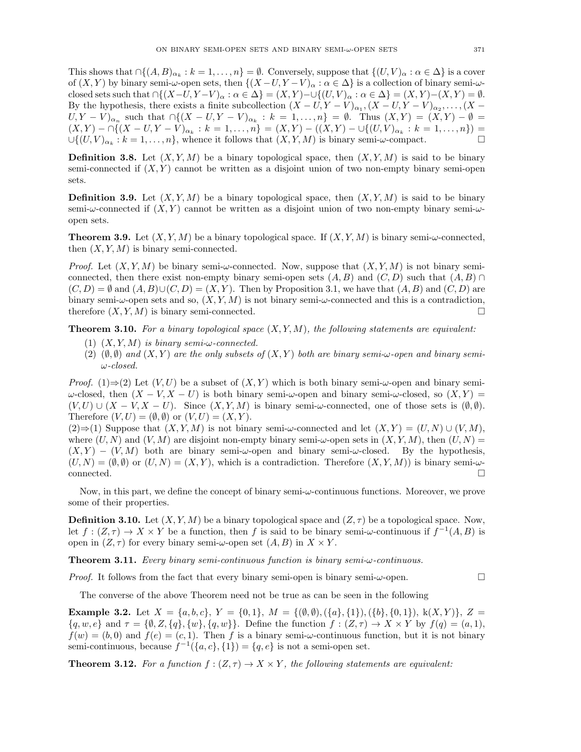This shows that  $\bigcap \{(A, B)_{\alpha_k} : k = 1, \ldots, n\} = \emptyset$ . Conversely, suppose that  $\{(U, V)_{\alpha} : \alpha \in \Delta\}$  is a cover of  $(X, Y)$  by binary semi- $\omega$ -open sets, then  $\{(X - U, Y - V)_{\alpha} : \alpha \in \Delta\}$  is a collection of binary semi- $\omega$ closed sets such that  $\bigcap \{(X-U, Y-V) \mid \alpha : \alpha \in \Delta\} = (X, Y) - \bigcup \{(U, V) \mid \alpha : \alpha \in \Delta\} = (X, Y) - (X, Y) = \emptyset$ . By the hypothesis, there exists a finite subcollection  $(X - U, Y - V)_{\alpha_1}$ ,  $(X - U, Y - V)_{\alpha_2}$ , ...,  $(X - V)_{\alpha_3}$  $(U, Y - V)_{\alpha_n}$  such that  $\bigcap \{(X - U, Y - V)_{\alpha_k} : k = 1, \ldots, n\} = \emptyset$ . Thus  $(X, Y) = (X, Y) - \emptyset =$  $(X,Y)$  –  $\bigcap\{(X-U,Y-V)_{\alpha_k}:k=1,\ldots,n\}=(X,Y)-((X,Y)-\cup\{(U,V)_{\alpha_k}:k=1,\ldots,n\})=$  $\cup \{(U,V)_{\alpha_k}: k=1,\ldots,n\}$ , whence it follows that  $(X,Y,M)$  is binary semi- $\omega$ -compact.

**Definition 3.8.** Let  $(X, Y, M)$  be a binary topological space, then  $(X, Y, M)$  is said to be binary semi-connected if  $(X, Y)$  cannot be written as a disjoint union of two non-empty binary semi-open sets.

**Definition 3.9.** Let  $(X, Y, M)$  be a binary topological space, then  $(X, Y, M)$  is said to be binary semi- $\omega$ -connected if  $(X, Y)$  cannot be written as a disjoint union of two non-empty binary semi- $\omega$ open sets.

**Theorem 3.9.** Let  $(X, Y, M)$  be a binary topological space. If  $(X, Y, M)$  is binary semi- $\omega$ -connected, then  $(X, Y, M)$  is binary semi-connected.

*Proof.* Let  $(X, Y, M)$  be binary semi- $\omega$ -connected. Now, suppose that  $(X, Y, M)$  is not binary semiconnected, then there exist non-empty binary semi-open sets  $(A, B)$  and  $(C, D)$  such that  $(A, B) \cap$  $(C, D) = \emptyset$  and  $(A, B) \cup (C, D) = (X, Y)$ . Then by Proposition 3.1, we have that  $(A, B)$  and  $(C, D)$  are binary semi- $\omega$ -open sets and so,  $(X, Y, M)$  is not binary semi- $\omega$ -connected and this is a contradiction, therefore  $(X, Y, M)$  is binary semi-connected.

**Theorem 3.10.** For a binary topological space  $(X, Y, M)$ , the following statements are equivalent:

- (1)  $(X, Y, M)$  is binary semi- $\omega$ -connected.
- (2)  $(\emptyset, \emptyset)$  and  $(X, Y)$  are the only subsets of  $(X, Y)$  both are binary semi- $\omega$ -open and binary semiω-closed.

*Proof.* (1)⇒(2) Let  $(V, U)$  be a subset of  $(X, Y)$  which is both binary semi- $\omega$ -open and binary semi $ω$ -closed, then  $(X - V, X - U)$  is both binary semi-ω-open and binary semi-ω-closed, so  $(X, Y) =$  $(V, U) \cup (X - V, X - U)$ . Since  $(X, Y, M)$  is binary semi- $\omega$ -connected, one of those sets is  $(\emptyset, \emptyset)$ . Therefore  $(V, U) = (\emptyset, \emptyset)$  or  $(V, U) = (X, Y)$ .

(2)⇒(1) Suppose that  $(X, Y, M)$  is not binary semi-ω-connected and let  $(X, Y) = (U, N) \cup (V, M)$ , where  $(U, N)$  and  $(V, M)$  are disjoint non-empty binary semi- $\omega$ -open sets in  $(X, Y, M)$ , then  $(U, N)$  =  $(X, Y) - (V, M)$  both are binary semi- $\omega$ -open and binary semi- $\omega$ -closed. By the hypothesis,  $(U, N) = (\emptyset, \emptyset)$  or  $(U, N) = (X, Y)$ , which is a contradiction. Therefore  $(X, Y, M)$  is binary semi- $\omega$ connected. □

Now, in this part, we define the concept of binary semi-ω-continuous functions. Moreover, we prove some of their properties.

**Definition 3.10.** Let  $(X, Y, M)$  be a binary topological space and  $(Z, \tau)$  be a topological space. Now, let  $f:(Z,\tau) \to X \times Y$  be a function, then f is said to be binary semi- $\omega$ -continuous if  $f^{-1}(A,B)$  is open in  $(Z, \tau)$  for every binary semi- $\omega$ -open set  $(A, B)$  in  $X \times Y$ .

Theorem 3.11. Every binary semi-continuous function is binary semi-ω-continuous.

*Proof.* It follows from the fact that every binary semi-open is binary semi- $\omega$ -open.

The converse of the above Theorem need not be true as can be seen in the following

**Example 3.2.** Let  $X = \{a, b, c\}$ ,  $Y = \{0, 1\}$ ,  $M = \{(\emptyset, \emptyset), (\{a\}, \{1\}), (\{b\}, \{0, 1\})$ ,  $k(X, Y)$ ,  $Z =$  $\{q, w, e\}$  and  $\tau = \{\emptyset, Z, \{q\}, \{w\}, \{q, w\}\}\$ . Define the function  $f : (Z, \tau) \to X \times Y$  by  $f(q) = (a, 1),$  $f(w) = (b, 0)$  and  $f(e) = (c, 1)$ . Then f is a binary semi- $\omega$ -continuous function, but it is not binary semi-continuous, because  $f^{-1}(\{a, c\}, \{1\}) = \{q, e\}$  is not a semi-open set.

**Theorem 3.12.** For a function  $f : (Z, \tau) \to X \times Y$ , the following statements are equivalent: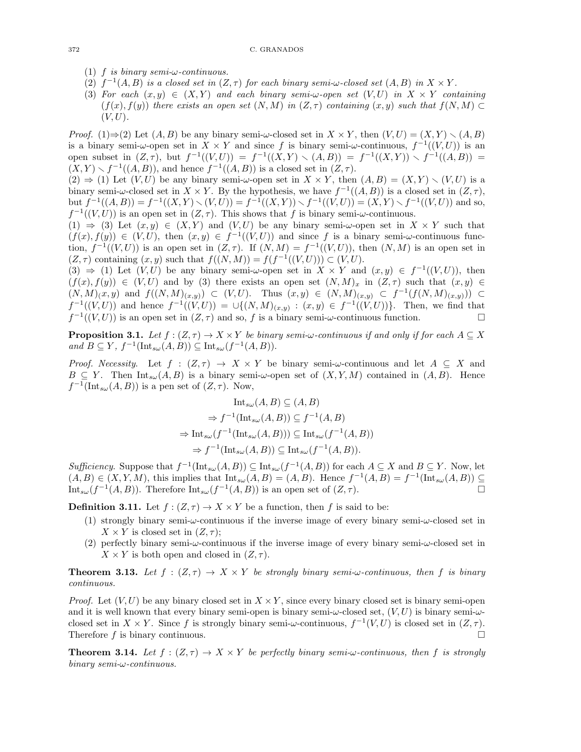- (1) f is binary semi- $\omega$ -continuous.
- (2)  $f^{-1}(A, B)$  is a closed set in  $(Z, \tau)$  for each binary semi- $\omega$ -closed set  $(A, B)$  in  $X \times Y$ .
- (3) For each  $(x, y) \in (X, Y)$  and each binary semi- $\omega$ -open set  $(V, U)$  in  $X \times Y$  containing  $(f(x), f(y))$  there exists an open set  $(N, M)$  in  $(Z, \tau)$  containing  $(x, y)$  such that  $f(N, M) \subset$  $(V, U)$ .

*Proof.* (1)⇒(2) Let  $(A, B)$  be any binary semi- $\omega$ -closed set in  $X \times Y$ , then  $(V, U) = (X, Y) \setminus (A, B)$ is a binary semi- $\omega$ -open set in  $X \times Y$  and since f is binary semi- $\omega$ -continuous,  $f^{-1}((V, U))$  is an open subset in  $(Z, \tau)$ , but  $f^{-1}((V, U)) = f^{-1}((X, Y) \setminus (A, B)) = f^{-1}((X, Y)) \setminus f^{-1}((A, B)) =$  $(X, Y) \setminus f^{-1}((A, B)),$  and hence  $f^{-1}((A, B))$  is a closed set in  $(Z, \tau)$ .

 $(2) \Rightarrow (1)$  Let  $(V, U)$  be any binary semi- $\omega$ -open set in  $X \times Y$ , then  $(A, B) = (X, Y) \setminus (V, U)$  is a binary semi- $\omega$ -closed set in  $X \times Y$ . By the hypothesis, we have  $f^{-1}((A, B))$  is a closed set in  $(Z, \tau)$ , but  $f^{-1}((A, B)) = f^{-1}((X, Y) \setminus (V, U)) = f^{-1}((X, Y)) \setminus f^{-1}((V, U)) = (X, Y) \setminus f^{-1}((V, U))$  and so,  $f^{-1}((V,U))$  is an open set in  $(Z,\tau)$ . This shows that f is binary semi- $\omega$ -continuous.

(1)  $\Rightarrow$  (3) Let  $(x, y) \in (X, Y)$  and  $(V, U)$  be any binary semi- $\omega$ -open set in  $X \times Y$  such that  $(f(x), f(y)) \in (V, U)$ , then  $(x, y) \in f^{-1}((V, U))$  and since f is a binary semi- $\omega$ -continuous function,  $f^{-1}((V,U))$  is an open set in  $(Z,\tau)$ . If  $(N,M) = f^{-1}((V,U))$ , then  $(N,M)$  is an open set in  $(Z, \tau)$  containing  $(x, y)$  such that  $f((N, M)) = f(f^{-1}((V, U))) \subset (V, U)$ .

(3)  $\Rightarrow$  (1) Let  $(V, U)$  be any binary semi- $\omega$ -open set in  $X \times Y$  and  $(x, y) \in f^{-1}((V, U))$ , then  $(f(x), f(y)) \in (V, U)$  and by (3) there exists an open set  $(N, M)_x$  in  $(Z, \tau)$  such that  $(x, y) \in$  $(N, M)(x, y)$  and  $f((N, M)(x, y)) \subset (V, U)$ . Thus  $(x, y) \in (N, M)(x, y) \subset f^{-1}(f(N, M)(x, y)) \subset$  $f^{-1}((V,U))$  and hence  $f^{-1}((V,U)) = \bigcup \{(N,M)_{(x,y)} : (x,y) \in f^{-1}((V,U))\}$ . Then, we find that  $f^{-1}((V,U))$  is an open set in  $(Z,\tau)$  and so, f is a binary semi- $\omega$ -continuous function.

**Proposition 3.1.** Let  $f : (Z, \tau) \to X \times Y$  be binary semi- $\omega$ -continuous if and only if for each  $A \subseteq X$ and  $B \subseteq Y$ ,  $f^{-1}(\text{Int}_{s\omega}(A, B)) \subseteq \text{Int}_{s\omega}(f^{-1}(A, B)).$ 

*Proof.* Necessity. Let  $f : (Z, \tau) \to X \times Y$  be binary semi- $\omega$ -continuous and let  $A \subseteq X$  and  $B \subseteq Y$ . Then  $Int_{s\omega}(A, B)$  is a binary semi- $\omega$ -open set of  $(X, Y, M)$  contained in  $(A, B)$ . Hence  $f^{-1}(\text{Int}_{s\omega}(A, B))$  is a pen set of  $(Z, \tau)$ . Now,

$$
\text{Int}_{s\omega}(A, B) \subseteq (A, B)
$$
  
\n
$$
\Rightarrow f^{-1}(\text{Int}_{s\omega}(A, B)) \subseteq f^{-1}(A, B)
$$
  
\n
$$
\Rightarrow \text{Int}_{s\omega}(f^{-1}(\text{Int}_{s\omega}(A, B))) \subseteq \text{Int}_{s\omega}(f^{-1}(A, B))
$$
  
\n
$$
\Rightarrow f^{-1}(\text{Int}_{s\omega}(A, B)) \subseteq \text{Int}_{s\omega}(f^{-1}(A, B)).
$$

Sufficiency. Suppose that  $f^{-1}(\text{Int}_{s\omega}(A, B)) \subseteq \text{Int}_{s\omega}(f^{-1}(A, B))$  for each  $A \subseteq X$  and  $B \subseteq Y$ . Now, let  $(A, B) \in (X, Y, M)$ , this implies that  $\text{Int}_{s\omega}(A, B) = (A, B)$ . Hence  $f^{-1}(A, B) = f^{-1}(\text{Int}_{s\omega}(A, B)) \subseteq$ Int<sub>sω</sub> $(f^{-1}(A, B))$ . Therefore Int<sub>sω</sub> $(f^{-1}(A, B))$  is an open set of  $(Z, \tau)$ .

**Definition 3.11.** Let  $f : (Z, \tau) \to X \times Y$  be a function, then f is said to be:

- (1) strongly binary semi- $\omega$ -continuous if the inverse image of every binary semi- $\omega$ -closed set in  $X \times Y$  is closed set in  $(Z, \tau)$ ;
- (2) perfectly binary semi- $\omega$ -continuous if the inverse image of every binary semi- $\omega$ -closed set in  $X \times Y$  is both open and closed in  $(Z, \tau)$ .

**Theorem 3.13.** Let  $f : (Z, \tau) \to X \times Y$  be strongly binary semi-w-continuous, then f is binary continuous.

*Proof.* Let  $(V, U)$  be any binary closed set in  $X \times Y$ , since every binary closed set is binary semi-open and it is well known that every binary semi-open is binary semi- $\omega$ -closed set,  $(V, U)$  is binary semi- $\omega$ closed set in  $X \times Y$ . Since f is strongly binary semi- $\omega$ -continuous,  $f^{-1}(V, U)$  is closed set in  $(Z, \tau)$ . Therefore  $f$  is binary continuous.

**Theorem 3.14.** Let  $f : (Z, \tau) \to X \times Y$  be perfectly binary semi- $\omega$ -continuous, then f is strongly binary semi-ω-continuous.